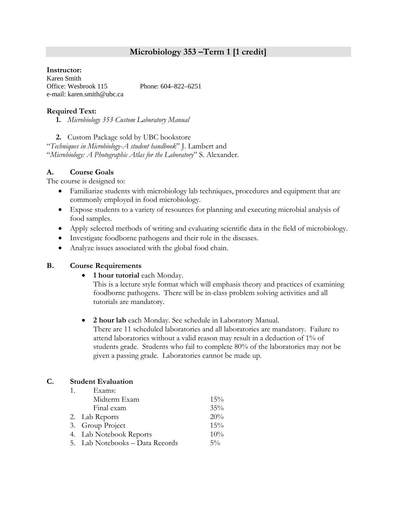# **Microbiology 353 –Term 1 [1 credit]**

## **Instructor:**

Karen Smith Office: Wesbrook 115 Phone: 604–822–6251 e-mail: karen.smith@ubc.ca

# **Required Text:**

**1.** *Microbiology 353 Custom Laboratory Manual*

**2.** Custom Package sold by UBC bookstore

"*Techniques in Microbiology*-*A student handbook*" J. Lambert and "*Microbiology: A Photographic Atlas for the Laboratory*" S. Alexander.

# **A. Course Goals**

The course is designed to:

- Familiarize students with microbiology lab techniques, procedures and equipment that are commonly employed in food microbiology.
- Expose students to a variety of resources for planning and executing microbial analysis of food samples.
- Apply selected methods of writing and evaluating scientific data in the field of microbiology.
- Investigate foodborne pathogens and their role in the diseases.
- Analyze issues associated with the global food chain.

# **B. Course Requirements**

**1 hour tutorial** each Monday.

This is a lecture style format which will emphasis theory and practices of examining foodborne pathogens. There will be in-class problem solving activities and all tutorials are mandatory.

 **2 hour lab** each Monday. See schedule in Laboratory Manual. There are 11 scheduled laboratories and all laboratories are mandatory. Failure to attend laboratories without a valid reason may result in a deduction of 1% of students grade. Students who fail to complete 80% of the laboratories may not be given a passing grade. Laboratories cannot be made up.

# **C. Student Evaluation**

| 1. | Exams:                          |        |
|----|---------------------------------|--------|
|    | Midterm Exam                    | 15%    |
|    | Final exam                      | $35\%$ |
|    | 2. Lab Reports                  | 20%    |
|    | 3. Group Project                | 15%    |
|    | 4. Lab Notebook Reports         | 10%    |
|    | 5. Lab Notebooks - Data Records | $5\%$  |
|    |                                 |        |